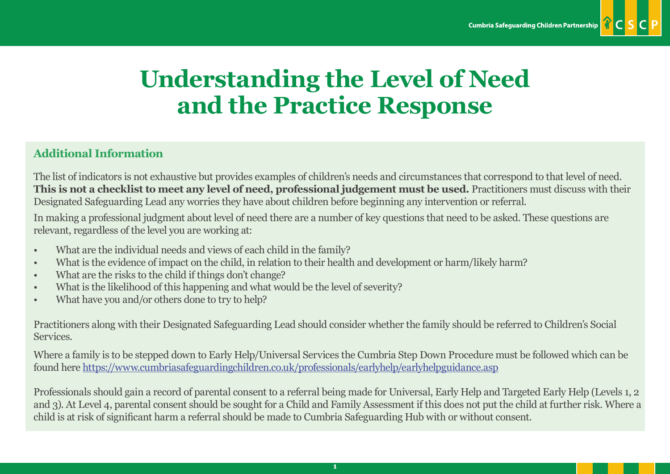

## **Understanding the Level of Need and the Practice Response**

## **Additional Information**

The list of indicators is not exhaustive but provides examples of children's needs and circumstances that correspond to that level of need. **This is not a checklist to meet any level of need, professional judgement must be used.** Practitioners must discuss with their Designated Safeguarding Lead any worries they have about children before beginning any intervention or referral.

In making a professional judgment about level of need there are a number of key questions that need to be asked. These questions are relevant, regardless of the level you are working at:

- What are the individual needs and views of each child in the family?
- What is the evidence of impact on the child, in relation to their health and development or harm/likely harm?
- What are the risks to the child if things don't change?
- What is the likelihood of this happening and what would be the level of severity?
- What have you and/or others done to try to help?

Practitioners along with their Designated Safeguarding Lead should consider whether the family should be referred to Children's Social Services.

Where a family is to be stepped down to Early Help/Universal Services the Cumbria Step Down Procedure must be followed which can be found her[e https://www.cumbriasafeguardingchildren.co.uk/professionals/earlyhelp/earlyhelpguidance.asp](https://www.cumbriasafeguardingchildren.co.uk/professionals/earlyhelp/earlyhelpguidance.asp)

Professionals should gain a record of parental consent to a referral being made for Universal, Early Help and Targeted Early Help (Levels 1, 2 and 3). At Level 4, parental consent should be sought for a Child and Family Assessment if this does not put the child at further risk. Where a child is at risk of significant harm a referral should be made to Cumbria Safeguarding Hub with or without consent.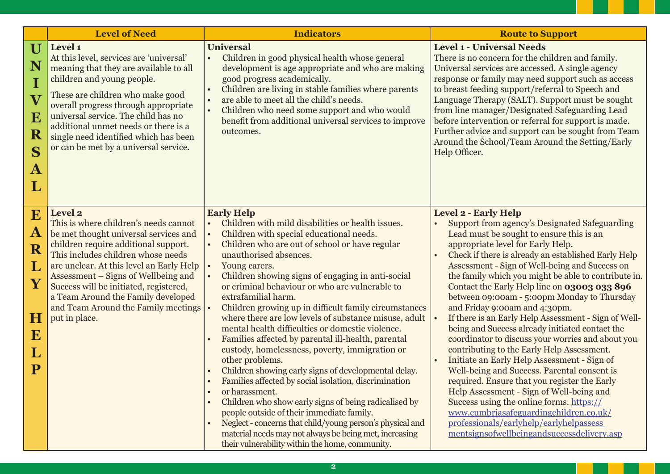|                                                                                         | <b>Level of Need</b>                                                                                                                                                                                                                                                                                                                                                                               | <b>Indicators</b>                                                                                                                                                                                                                                                                                                                                                                                                                                                                                                                                                                                                                                                                                                                                                                                                                                                                                                                                                                                                                                                                                                     | <b>Route to Support</b>                                                                                                                                                                                                                                                                                                                                                                                                                                                                                                                                                                                                                                                                                                                                                                                                                                                                                                                                                                                                                               |
|-----------------------------------------------------------------------------------------|----------------------------------------------------------------------------------------------------------------------------------------------------------------------------------------------------------------------------------------------------------------------------------------------------------------------------------------------------------------------------------------------------|-----------------------------------------------------------------------------------------------------------------------------------------------------------------------------------------------------------------------------------------------------------------------------------------------------------------------------------------------------------------------------------------------------------------------------------------------------------------------------------------------------------------------------------------------------------------------------------------------------------------------------------------------------------------------------------------------------------------------------------------------------------------------------------------------------------------------------------------------------------------------------------------------------------------------------------------------------------------------------------------------------------------------------------------------------------------------------------------------------------------------|-------------------------------------------------------------------------------------------------------------------------------------------------------------------------------------------------------------------------------------------------------------------------------------------------------------------------------------------------------------------------------------------------------------------------------------------------------------------------------------------------------------------------------------------------------------------------------------------------------------------------------------------------------------------------------------------------------------------------------------------------------------------------------------------------------------------------------------------------------------------------------------------------------------------------------------------------------------------------------------------------------------------------------------------------------|
| U<br>N<br>I<br>$\overline{\mathbf{V}}$<br>$\bf E$<br>${\bf R}$<br>S<br>$\mathbf A$<br>L | Level 1<br>At this level, services are 'universal'<br>meaning that they are available to all<br>children and young people.<br>These are children who make good<br>overall progress through appropriate<br>universal service. The child has no<br>additional unmet needs or there is a<br>single need identified which has been<br>or can be met by a universal service.                            | <b>Universal</b><br>Children in good physical health whose general<br>$\bullet$<br>development is age appropriate and who are making<br>good progress academically.<br>Children are living in stable families where parents<br>are able to meet all the child's needs.<br>$\bullet$<br>Children who need some support and who would<br>benefit from additional universal services to improve<br>outcomes.                                                                                                                                                                                                                                                                                                                                                                                                                                                                                                                                                                                                                                                                                                             | <b>Level 1 - Universal Needs</b><br>There is no concern for the children and family.<br>Universal services are accessed. A single agency<br>response or family may need support such as access<br>to breast feeding support/referral to Speech and<br>Language Therapy (SALT). Support must be sought<br>from line manager/Designated Safeguarding Lead<br>before intervention or referral for support is made.<br>Further advice and support can be sought from Team<br>Around the School/Team Around the Setting/Early<br>Help Officer.                                                                                                                                                                                                                                                                                                                                                                                                                                                                                                             |
| E<br>$\mathbf A$<br>R<br>L<br>Y<br>H<br>E<br>$\mathbf L$<br>${\bf P}$                   | Level 2<br>This is where children's needs cannot<br>be met thought universal services and<br>children require additional support.<br>This includes children whose needs<br>are unclear. At this level an Early Help<br>Assessment – Signs of Wellbeing and<br>Success will be initiated, registered,<br>a Team Around the Family developed<br>and Team Around the Family meetings<br>put in place. | <b>Early Help</b><br>Children with mild disabilities or health issues.<br>$\bullet$<br>Children with special educational needs.<br>$\bullet$<br>Children who are out of school or have regular<br>unauthorised absences.<br>Young carers.<br>Children showing signs of engaging in anti-social<br>$\bullet$<br>or criminal behaviour or who are vulnerable to<br>extrafamilial harm.<br>Children growing up in difficult family circumstances<br>where there are low levels of substance misuse, adult<br>mental health difficulties or domestic violence.<br>Families affected by parental ill-health, parental<br>custody, homelessness, poverty, immigration or<br>other problems.<br>Children showing early signs of developmental delay.<br>Families affected by social isolation, discrimination<br>or harassment.<br>Children who show early signs of being radicalised by<br>people outside of their immediate family.<br>Neglect - concerns that child/young person's physical and<br>$\bullet$<br>material needs may not always be being met, increasing<br>their vulnerability within the home, community. | Level 2 - Early Help<br><b>Support from agency's Designated Safeguarding</b><br>Lead must be sought to ensure this is an<br>appropriate level for Early Help.<br>Check if there is already an established Early Help<br>Assessment - Sign of Well-being and Success on<br>the family which you might be able to contribute in.<br>Contact the Early Help line on 03003 033 896<br>between 09:00am - 5:00pm Monday to Thursday<br>and Friday 9:00am and 4:30pm.<br>If there is an Early Help Assessment - Sign of Well-<br>being and Success already initiated contact the<br>coordinator to discuss your worries and about you<br>contributing to the Early Help Assessment.<br>Initiate an Early Help Assessment - Sign of<br>Well-being and Success. Parental consent is<br>required. Ensure that you register the Early<br>Help Assessment - Sign of Well-being and<br>Success using the online forms. https://<br>www.cumbriasafeguardingchildren.co.uk/<br>professionals/earlyhelp/earlyhelpassess<br>mentsignsofwellbeingandsuccessdelivery.asp |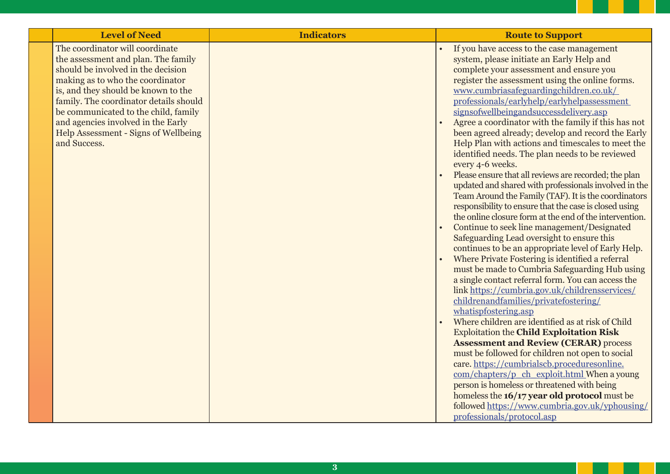| <b>Level of Need</b>                                                                                                                                                                                                                                                                                                                                                    | <b>Indicators</b> | <b>Route to Support</b>                                                                                                                                                                                                                                                                                                                                                                                                                                                                                                                                                                                                                                                                                                                                                                                                                                                                                                                                                                                                                                                                                                                                                                                                                                                                                                                                                                                                                                                                                                                                                                                                                                                                                                                                                                    |
|-------------------------------------------------------------------------------------------------------------------------------------------------------------------------------------------------------------------------------------------------------------------------------------------------------------------------------------------------------------------------|-------------------|--------------------------------------------------------------------------------------------------------------------------------------------------------------------------------------------------------------------------------------------------------------------------------------------------------------------------------------------------------------------------------------------------------------------------------------------------------------------------------------------------------------------------------------------------------------------------------------------------------------------------------------------------------------------------------------------------------------------------------------------------------------------------------------------------------------------------------------------------------------------------------------------------------------------------------------------------------------------------------------------------------------------------------------------------------------------------------------------------------------------------------------------------------------------------------------------------------------------------------------------------------------------------------------------------------------------------------------------------------------------------------------------------------------------------------------------------------------------------------------------------------------------------------------------------------------------------------------------------------------------------------------------------------------------------------------------------------------------------------------------------------------------------------------------|
| The coordinator will coordinate<br>the assessment and plan. The family<br>should be involved in the decision<br>making as to who the coordinator<br>is, and they should be known to the<br>family. The coordinator details should<br>be communicated to the child, family<br>and agencies involved in the Early<br>Help Assessment - Signs of Wellbeing<br>and Success. |                   | If you have access to the case management<br>system, please initiate an Early Help and<br>complete your assessment and ensure you<br>register the assessment using the online forms.<br>www.cumbriasafeguardingchildren.co.uk/<br>professionals/earlyhelp/earlyhelpassessment<br>signsofwellbeingandsuccessdelivery.asp<br>Agree a coordinator with the family if this has not<br>been agreed already; develop and record the Early<br>Help Plan with actions and timescales to meet the<br>identified needs. The plan needs to be reviewed<br>every 4-6 weeks.<br>Please ensure that all reviews are recorded; the plan<br>updated and shared with professionals involved in the<br>Team Around the Family (TAF). It is the coordinators<br>responsibility to ensure that the case is closed using<br>the online closure form at the end of the intervention.<br>Continue to seek line management/Designated<br>Safeguarding Lead oversight to ensure this<br>continues to be an appropriate level of Early Help.<br>Where Private Fostering is identified a referral<br>must be made to Cumbria Safeguarding Hub using<br>a single contact referral form. You can access the<br>link https://cumbria.gov.uk/childrensservices/<br>childrenandfamilies/privatefostering/<br>whatispfostering.asp<br>Where children are identified as at risk of Child<br><b>Exploitation the Child Exploitation Risk</b><br><b>Assessment and Review (CERAR) process</b><br>must be followed for children not open to social<br>care. https://cumbrialscb.proceduresonline.<br>com/chapters/p_ch_exploit.html When a young<br>person is homeless or threatened with being<br>homeless the 16/17 year old protocol must be<br>followed https://www.cumbria.gov.uk/yphousing/<br>professionals/protocol.asp |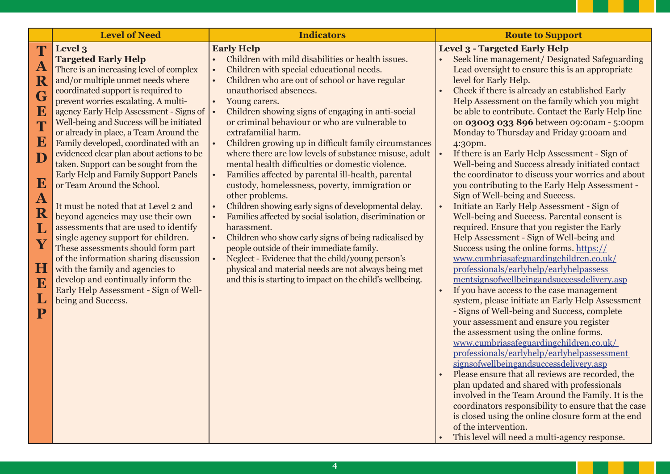|                                                                                                                                                                                                                                    | <b>Level of Need</b>                                                                                                                                                                                                                                                                                                                                                                                                                                                                                                                                                                                                                                                                                                                                                                                                                                                                                                                | <b>Indicators</b>                                                                                                                                                                                                                                                                                                                                                                                                                                                                                                                                                                                                                                                                                                                                                                                                                                                                                                                                                                                                                                                                                                   | <b>Route to Support</b>                                                                                                                                                                                                                                                                                                                                                                                                                                                                                                                                                                                                                                                                                                                                                                                                                                                                                                                                                                                                                                                                                                                                                                                                                                                                                                                                                                                                                                                                                                                                                                                                                                                                                                      |
|------------------------------------------------------------------------------------------------------------------------------------------------------------------------------------------------------------------------------------|-------------------------------------------------------------------------------------------------------------------------------------------------------------------------------------------------------------------------------------------------------------------------------------------------------------------------------------------------------------------------------------------------------------------------------------------------------------------------------------------------------------------------------------------------------------------------------------------------------------------------------------------------------------------------------------------------------------------------------------------------------------------------------------------------------------------------------------------------------------------------------------------------------------------------------------|---------------------------------------------------------------------------------------------------------------------------------------------------------------------------------------------------------------------------------------------------------------------------------------------------------------------------------------------------------------------------------------------------------------------------------------------------------------------------------------------------------------------------------------------------------------------------------------------------------------------------------------------------------------------------------------------------------------------------------------------------------------------------------------------------------------------------------------------------------------------------------------------------------------------------------------------------------------------------------------------------------------------------------------------------------------------------------------------------------------------|------------------------------------------------------------------------------------------------------------------------------------------------------------------------------------------------------------------------------------------------------------------------------------------------------------------------------------------------------------------------------------------------------------------------------------------------------------------------------------------------------------------------------------------------------------------------------------------------------------------------------------------------------------------------------------------------------------------------------------------------------------------------------------------------------------------------------------------------------------------------------------------------------------------------------------------------------------------------------------------------------------------------------------------------------------------------------------------------------------------------------------------------------------------------------------------------------------------------------------------------------------------------------------------------------------------------------------------------------------------------------------------------------------------------------------------------------------------------------------------------------------------------------------------------------------------------------------------------------------------------------------------------------------------------------------------------------------------------------|
| T<br>$\mathbf A$<br>$\overline{\mathbf{R}}$<br>G<br>E<br>T<br>${\bf E}$<br>$\overline{\mathbf{D}}$<br>E<br>$\mathbf{A}$<br>$\overline{\mathbf{R}}$<br>L<br>$\overline{\textbf{Y}}$<br>$\bf H$<br>E<br>L<br>$\overline{\mathbf{P}}$ | Level 3<br><b>Targeted Early Help</b><br>There is an increasing level of complex<br>and/or multiple unmet needs where<br>coordinated support is required to<br>prevent worries escalating. A multi-<br>agency Early Help Assessment - Signs of<br>Well-being and Success will be initiated<br>or already in place, a Team Around the<br>Family developed, coordinated with an<br>evidenced clear plan about actions to be<br>taken. Support can be sought from the<br><b>Early Help and Family Support Panels</b><br>or Team Around the School.<br>It must be noted that at Level 2 and<br>beyond agencies may use their own<br>assessments that are used to identify<br>single agency support for children.<br>These assessments should form part<br>of the information sharing discussion<br>with the family and agencies to<br>develop and continually inform the<br>Early Help Assessment - Sign of Well-<br>being and Success. | <b>Early Help</b><br>Children with mild disabilities or health issues.<br>Children with special educational needs.<br>Children who are out of school or have regular<br>$\bullet$<br>unauthorised absences.<br>Young carers.<br>Children showing signs of engaging in anti-social<br>or criminal behaviour or who are vulnerable to<br>extrafamilial harm.<br>Children growing up in difficult family circumstances<br>$\bullet$<br>where there are low levels of substance misuse, adult<br>mental health difficulties or domestic violence.<br>Families affected by parental ill-health, parental<br>custody, homelessness, poverty, immigration or<br>other problems.<br>Children showing early signs of developmental delay.<br>Families affected by social isolation, discrimination or<br>harassment.<br>Children who show early signs of being radicalised by<br>$\bullet$<br>people outside of their immediate family.<br>Neglect - Evidence that the child/young person's<br>$\bullet$<br>physical and material needs are not always being met<br>and this is starting to impact on the child's wellbeing. | <b>Level 3 - Targeted Early Help</b><br>Seek line management/ Designated Safeguarding<br>Lead oversight to ensure this is an appropriate<br>level for Early Help.<br>Check if there is already an established Early<br>Help Assessment on the family which you might<br>be able to contribute. Contact the Early Help line<br>on 03003 033 896 between 09:00am - 5:00pm<br>Monday to Thursday and Friday 9:00am and<br>4:30pm.<br>If there is an Early Help Assessment - Sign of<br>Well-being and Success already initiated contact<br>the coordinator to discuss your worries and about<br>you contributing to the Early Help Assessment -<br>Sign of Well-being and Success.<br>Initiate an Early Help Assessment - Sign of<br>Well-being and Success. Parental consent is<br>required. Ensure that you register the Early<br>Help Assessment - Sign of Well-being and<br>Success using the online forms. https://<br>www.cumbriasafeguardingchildren.co.uk/<br>professionals/earlyhelp/earlyhelpassess<br>mentsignsofwellbeingandsuccessdelivery.asp<br>If you have access to the case management<br>system, please initiate an Early Help Assessment<br>- Signs of Well-being and Success, complete<br>your assessment and ensure you register<br>the assessment using the online forms.<br>www.cumbriasafeguardingchildren.co.uk/<br>professionals/earlyhelp/earlyhelpassessment<br>signsofwellbeingandsuccessdelivery.asp<br>Please ensure that all reviews are recorded, the<br>plan updated and shared with professionals<br>involved in the Team Around the Family. It is the<br>coordinators responsibility to ensure that the case<br>is closed using the online closure form at the end<br>of the intervention. |

<sup>•</sup> This level will need a multi-agency response.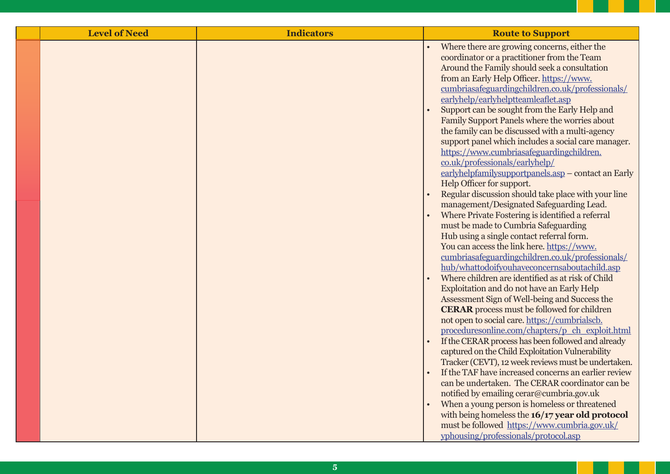| <b>Level of Need</b> | <b>Indicators</b> | <b>Route to Support</b>                                                                                                                                                                                                                                                                                                                                                    |
|----------------------|-------------------|----------------------------------------------------------------------------------------------------------------------------------------------------------------------------------------------------------------------------------------------------------------------------------------------------------------------------------------------------------------------------|
|                      |                   | Where there are growing concerns, either the<br>coordinator or a practitioner from the Team<br>Around the Family should seek a consultation<br>from an Early Help Officer. https://www.<br>cumbriasafeguardingchildren.co.uk/professionals/<br>earlyhelp/earlyhelptteamleaflet.asp                                                                                         |
|                      |                   | Support can be sought from the Early Help and<br>Family Support Panels where the worries about<br>the family can be discussed with a multi-agency<br>support panel which includes a social care manager.<br>https://www.cumbriasafeguardingchildren.<br>co.uk/professionals/earlyhelp/<br>earlyhelpfamilysupportpanels.asp - contact an Early<br>Help Officer for support. |
|                      |                   | Regular discussion should take place with your line<br>management/Designated Safeguarding Lead.<br>Where Private Fostering is identified a referral<br>must be made to Cumbria Safeguarding<br>Hub using a single contact referral form.<br>You can access the link here. https://www.<br>cumbriasafeguardingchildren.co.uk/professionals/                                 |
|                      |                   | hub/whattodoifyouhaveconcernsaboutachild.asp<br>Where children are identified as at risk of Child<br>Exploitation and do not have an Early Help<br>Assessment Sign of Well-being and Success the<br><b>CERAR</b> process must be followed for children<br>not open to social care. https://cumbrialscb.<br>proceduresonline.com/chapters/p_ch_exploit.html                 |
|                      |                   | If the CERAR process has been followed and already<br>captured on the Child Exploitation Vulnerability<br>Tracker (CEVT), 12 week reviews must be undertaken.<br>If the TAF have increased concerns an earlier review<br>can be undertaken. The CERAR coordinator can be                                                                                                   |
|                      |                   | notified by emailing cerar@cumbria.gov.uk<br>When a young person is homeless or threatened<br>with being homeless the 16/17 year old protocol<br>must be followed https://www.cumbria.gov.uk/<br>yphousing/professionals/protocol.asp                                                                                                                                      |